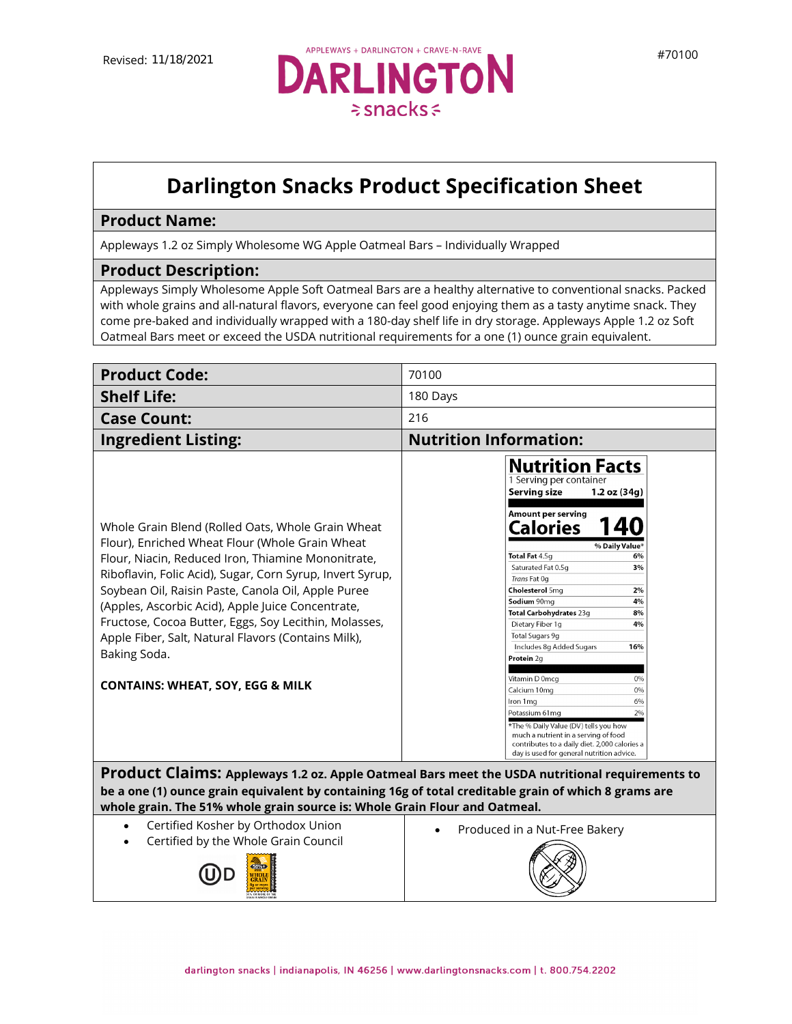

## **Darlington Snacks Product Specification Sheet**

## **Product Name:**

Appleways 1.2 oz Simply Wholesome WG Apple Oatmeal Bars – Individually Wrapped

## **Product Description:**

Appleways Simply Wholesome Apple Soft Oatmeal Bars are a healthy alternative to conventional snacks. Packed with whole grains and all-natural flavors, everyone can feel good enjoying them as a tasty anytime snack. They come pre-baked and individually wrapped with a 180-day shelf life in dry storage. Appleways Apple 1.2 oz Soft Oatmeal Bars meet or exceed the USDA nutritional requirements for a one (1) ounce grain equivalent.

| <b>Product Code:</b>                                                                                                                                                                                                                                                                                                                                                                                                                                                                                                                                                                                                      | 70100                                                                                                                                                                                                                                                                                                                                                                                                                                                                                                                                                                                                                                                                                                                                                                          |
|---------------------------------------------------------------------------------------------------------------------------------------------------------------------------------------------------------------------------------------------------------------------------------------------------------------------------------------------------------------------------------------------------------------------------------------------------------------------------------------------------------------------------------------------------------------------------------------------------------------------------|--------------------------------------------------------------------------------------------------------------------------------------------------------------------------------------------------------------------------------------------------------------------------------------------------------------------------------------------------------------------------------------------------------------------------------------------------------------------------------------------------------------------------------------------------------------------------------------------------------------------------------------------------------------------------------------------------------------------------------------------------------------------------------|
| <b>Shelf Life:</b>                                                                                                                                                                                                                                                                                                                                                                                                                                                                                                                                                                                                        | 180 Days                                                                                                                                                                                                                                                                                                                                                                                                                                                                                                                                                                                                                                                                                                                                                                       |
| <b>Case Count:</b>                                                                                                                                                                                                                                                                                                                                                                                                                                                                                                                                                                                                        | 216                                                                                                                                                                                                                                                                                                                                                                                                                                                                                                                                                                                                                                                                                                                                                                            |
| <b>Ingredient Listing:</b>                                                                                                                                                                                                                                                                                                                                                                                                                                                                                                                                                                                                | <b>Nutrition Information:</b>                                                                                                                                                                                                                                                                                                                                                                                                                                                                                                                                                                                                                                                                                                                                                  |
| Whole Grain Blend (Rolled Oats, Whole Grain Wheat<br>Flour), Enriched Wheat Flour (Whole Grain Wheat<br>Flour, Niacin, Reduced Iron, Thiamine Mononitrate,<br>Riboflavin, Folic Acid), Sugar, Corn Syrup, Invert Syrup,<br>Soybean Oil, Raisin Paste, Canola Oil, Apple Puree<br>(Apples, Ascorbic Acid), Apple Juice Concentrate,<br>Fructose, Cocoa Butter, Eggs, Soy Lecithin, Molasses,<br>Apple Fiber, Salt, Natural Flavors (Contains Milk),<br>Baking Soda.<br><b>CONTAINS: WHEAT, SOY, EGG &amp; MILK</b><br>be a one (1) ounce grain equivalent by containing 16g of total creditable grain of which 8 grams are | <b>Nutrition Facts</b><br>1 Serving per container<br><b>Serving size</b><br>1.2 oz (34g)<br>Amount per serving<br><b>Calories</b><br>% Daily Value*<br>Total Fat 4.5g<br>6%<br>Saturated Fat 0.5q<br>3%<br>Trans Fat 0q<br>Cholesterol 5mg<br>2%<br>Sodium 90mg<br>4%<br>Total Carbohydrates 23g<br>8%<br>Dietary Fiber 1g<br>4%<br>Total Sugars 9g<br>Includes 8g Added Sugars<br>16%<br>Protein 2g<br>Vitamin D 0mcg<br>0%<br>Calcium 10mg<br>0%<br>Iron 1 mg<br>6%<br>2%<br>Potassium 61mg<br>*The % Daily Value (DV) tells you how<br>much a nutrient in a serving of food<br>contributes to a daily diet. 2,000 calories a<br>day is used for general nutrition advice.<br>Product Claims: Appleways 1.2 oz. Apple Oatmeal Bars meet the USDA nutritional requirements to |
| whole grain. The 51% whole grain source is: Whole Grain Flour and Oatmeal.                                                                                                                                                                                                                                                                                                                                                                                                                                                                                                                                                |                                                                                                                                                                                                                                                                                                                                                                                                                                                                                                                                                                                                                                                                                                                                                                                |
| Certified Kosher by Orthodox Union<br>Certified by the Whole Grain Council                                                                                                                                                                                                                                                                                                                                                                                                                                                                                                                                                | Produced in a Nut-Free Bakery                                                                                                                                                                                                                                                                                                                                                                                                                                                                                                                                                                                                                                                                                                                                                  |